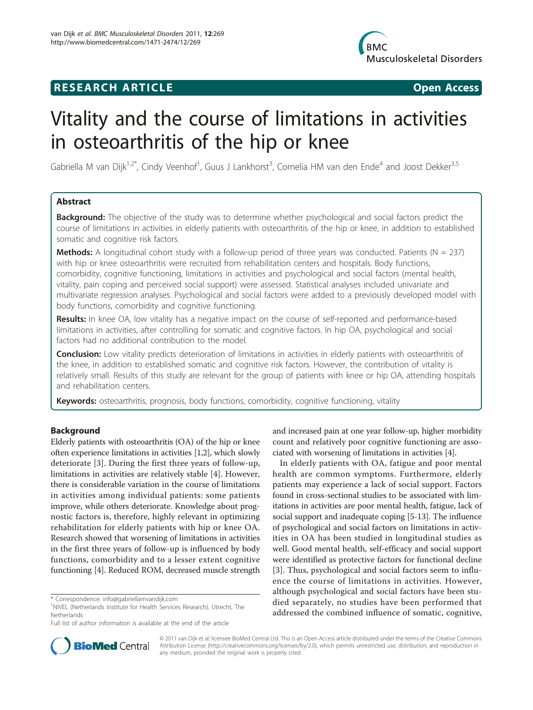

## **RESEARCH ARTICLE Example 2018 CONSIDERING CONSIDERING CONSIDERING CONSIDERING CONSIDERING CONSIDERING CONSIDERING CONSIDERING CONSIDERING CONSIDERING CONSIDERING CONSIDERING CONSIDERING CONSIDERING CONSIDERING CONSIDE**

# Vitality and the course of limitations in activities in osteoarthritis of the hip or knee

Gabriella M van Dijk<sup>1,2\*</sup>, Cindy Veenhof<sup>1</sup>, Guus J Lankhorst<sup>3</sup>, Cornelia HM van den Ende<sup>4</sup> and Joost Dekker<sup>3,5</sup>

## Abstract

**Background:** The objective of the study was to determine whether psychological and social factors predict the course of limitations in activities in elderly patients with osteoarthritis of the hip or knee, in addition to established somatic and cognitive risk factors.

**Methods:** A longitudinal cohort study with a follow-up period of three years was conducted. Patients ( $N = 237$ ) with hip or knee osteoarthritis were recruited from rehabilitation centers and hospitals. Body functions, comorbidity, cognitive functioning, limitations in activities and psychological and social factors (mental health, vitality, pain coping and perceived social support) were assessed. Statistical analyses included univariate and multivariate regression analyses. Psychological and social factors were added to a previously developed model with body functions, comorbidity and cognitive functioning.

Results: In knee OA, low vitality has a negative impact on the course of self-reported and performance-based limitations in activities, after controlling for somatic and cognitive factors. In hip OA, psychological and social factors had no additional contribution to the model.

**Conclusion:** Low vitality predicts deterioration of limitations in activities in elderly patients with osteoarthritis of the knee, in addition to established somatic and cognitive risk factors. However, the contribution of vitality is relatively small. Results of this study are relevant for the group of patients with knee or hip OA, attending hospitals and rehabilitation centers.

Keywords: osteoarthritis, prognosis, body functions, comorbidity, cognitive functioning, vitality

## Background

Elderly patients with osteoarthritis (OA) of the hip or knee often experience limitations in activities [\[1,2\]](#page-8-0), which slowly deteriorate [[3\]](#page-8-0). During the first three years of follow-up, limitations in activities are relatively stable [\[4](#page-8-0)]. However, there is considerable variation in the course of limitations in activities among individual patients: some patients improve, while others deteriorate. Knowledge about prognostic factors is, therefore, highly relevant in optimizing rehabilitation for elderly patients with hip or knee OA. Research showed that worsening of limitations in activities in the first three years of follow-up is influenced by body functions, comorbidity and to a lesser extent cognitive functioning [\[4](#page-8-0)]. Reduced ROM, decreased muscle strength



In elderly patients with OA, fatigue and poor mental health are common symptoms. Furthermore, elderly patients may experience a lack of social support. Factors found in cross-sectional studies to be associated with limitations in activities are poor mental health, fatigue, lack of social support and inadequate coping [\[5-13](#page-8-0)]. The influence of psychological and social factors on limitations in activities in OA has been studied in longitudinal studies as well. Good mental health, self-efficacy and social support were identified as protective factors for functional decline [[3\]](#page-8-0). Thus, psychological and social factors seem to influence the course of limitations in activities. However, although psychological and social factors have been studied separately, no studies have been performed that addressed the combined influence of somatic, cognitive,



© 2011 van Dijk et al; licensee BioMed Central Ltd. This is an Open Access article distributed under the terms of the Creative Commons Attribution License [\(http://creativecommons.org/licenses/by/2.0](http://creativecommons.org/licenses/by/2.0)), which permits unrestricted use, distribution, and reproduction in any medium, provided the original work is properly cited.

<sup>\*</sup> Correspondence: [info@gabriellamvandijk.com](mailto:info@gabriellamvandijk.com)

<sup>&</sup>lt;sup>1</sup>NIVEL (Netherlands Institute for Health Services Research), Utrecht, The Netherlands

Full list of author information is available at the end of the article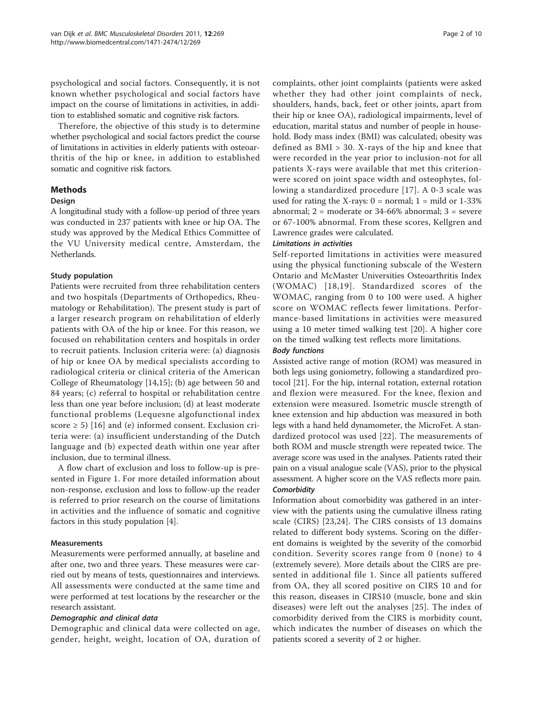psychological and social factors. Consequently, it is not known whether psychological and social factors have impact on the course of limitations in activities, in addition to established somatic and cognitive risk factors.

Therefore, the objective of this study is to determine whether psychological and social factors predict the course of limitations in activities in elderly patients with osteoarthritis of the hip or knee, in addition to established somatic and cognitive risk factors.

## Methods

## Design

A longitudinal study with a follow-up period of three years was conducted in 237 patients with knee or hip OA. The study was approved by the Medical Ethics Committee of the VU University medical centre, Amsterdam, the Netherlands.

## Study population

Patients were recruited from three rehabilitation centers and two hospitals (Departments of Orthopedics, Rheumatology or Rehabilitation). The present study is part of a larger research program on rehabilitation of elderly patients with OA of the hip or knee. For this reason, we focused on rehabilitation centers and hospitals in order to recruit patients. Inclusion criteria were: (a) diagnosis of hip or knee OA by medical specialists according to radiological criteria or clinical criteria of the American College of Rheumatology [[14](#page-8-0),[15](#page-8-0)]; (b) age between 50 and 84 years; (c) referral to hospital or rehabilitation centre less than one year before inclusion; (d) at least moderate functional problems (Lequesne algofunctional index score  $\geq 5$ ) [[16\]](#page-8-0) and (e) informed consent. Exclusion criteria were: (a) insufficient understanding of the Dutch language and (b) expected death within one year after inclusion, due to terminal illness.

A flow chart of exclusion and loss to follow-up is presented in Figure [1](#page-2-0). For more detailed information about non-response, exclusion and loss to follow-up the reader is referred to prior research on the course of limitations in activities and the influence of somatic and cognitive factors in this study population [\[4\]](#page-8-0).

#### Measurements

Measurements were performed annually, at baseline and after one, two and three years. These measures were carried out by means of tests, questionnaires and interviews. All assessments were conducted at the same time and were performed at test locations by the researcher or the research assistant.

#### Demographic and clinical data

Demographic and clinical data were collected on age, gender, height, weight, location of OA, duration of complaints, other joint complaints (patients were asked whether they had other joint complaints of neck, shoulders, hands, back, feet or other joints, apart from their hip or knee OA), radiological impairments, level of education, marital status and number of people in household. Body mass index (BMI) was calculated; obesity was defined as BMI > 30. X-rays of the hip and knee that were recorded in the year prior to inclusion-not for all patients X-rays were available that met this criterionwere scored on joint space width and osteophytes, following a standardized procedure [\[17\]](#page-8-0). A 0-3 scale was used for rating the X-rays:  $0 = normal$ ;  $1 = mild or 1-33%$ abnormal; 2 = moderate or 34-66% abnormal; 3 = severe or 67-100% abnormal. From these scores, Kellgren and Lawrence grades were calculated.

#### Limitations in activities

Self-reported limitations in activities were measured using the physical functioning subscale of the Western Ontario and McMaster Universities Osteoarthritis Index (WOMAC) [[18](#page-8-0),[19](#page-8-0)]. Standardized scores of the WOMAC, ranging from 0 to 100 were used. A higher score on WOMAC reflects fewer limitations. Performance-based limitations in activities were measured using a 10 meter timed walking test [\[20](#page-8-0)]. A higher core on the timed walking test reflects more limitations.

#### Body functions

Assisted active range of motion (ROM) was measured in both legs using goniometry, following a standardized protocol [[21\]](#page-8-0). For the hip, internal rotation, external rotation and flexion were measured. For the knee, flexion and extension were measured. Isometric muscle strength of knee extension and hip abduction was measured in both legs with a hand held dynamometer, the MicroFet. A standardized protocol was used [\[22\]](#page-8-0). The measurements of both ROM and muscle strength were repeated twice. The average score was used in the analyses. Patients rated their pain on a visual analogue scale (VAS), prior to the physical assessment. A higher score on the VAS reflects more pain.

## **Comorbidity**

Information about comorbidity was gathered in an interview with the patients using the cumulative illness rating scale (CIRS) [[23,24](#page-8-0)]. The CIRS consists of 13 domains related to different body systems. Scoring on the different domains is weighted by the severity of the comorbid condition. Severity scores range from 0 (none) to 4 (extremely severe). More details about the CIRS are presented in additional file [1.](#page-8-0) Since all patients suffered from OA, they all scored positive on CIRS 10 and for this reason, diseases in CIRS10 (muscle, bone and skin diseases) were left out the analyses [\[25\]](#page-8-0). The index of comorbidity derived from the CIRS is morbidity count, which indicates the number of diseases on which the patients scored a severity of 2 or higher.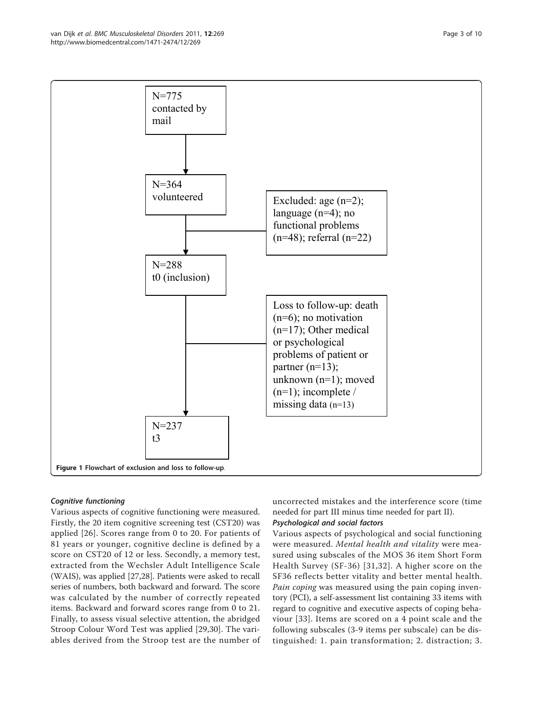<span id="page-2-0"></span>

#### Cognitive functioning

Various aspects of cognitive functioning were measured. Firstly, the 20 item cognitive screening test (CST20) was applied [[26](#page-8-0)]. Scores range from 0 to 20. For patients of 81 years or younger, cognitive decline is defined by a score on CST20 of 12 or less. Secondly, a memory test, extracted from the Wechsler Adult Intelligence Scale (WAIS), was applied [[27,28](#page-8-0)]. Patients were asked to recall series of numbers, both backward and forward. The score was calculated by the number of correctly repeated items. Backward and forward scores range from 0 to 21. Finally, to assess visual selective attention, the abridged Stroop Colour Word Test was applied [[29,30\]](#page-8-0). The variables derived from the Stroop test are the number of

uncorrected mistakes and the interference score (time needed for part III minus time needed for part II).

## Psychological and social factors

Various aspects of psychological and social functioning were measured. Mental health and vitality were measured using subscales of the MOS 36 item Short Form Health Survey (SF-36) [\[31,32](#page-8-0)]. A higher score on the SF36 reflects better vitality and better mental health. Pain coping was measured using the pain coping inventory (PCI), a self-assessment list containing 33 items with regard to cognitive and executive aspects of coping behaviour [[33\]](#page-8-0). Items are scored on a 4 point scale and the following subscales (3-9 items per subscale) can be distinguished: 1. pain transformation; 2. distraction; 3.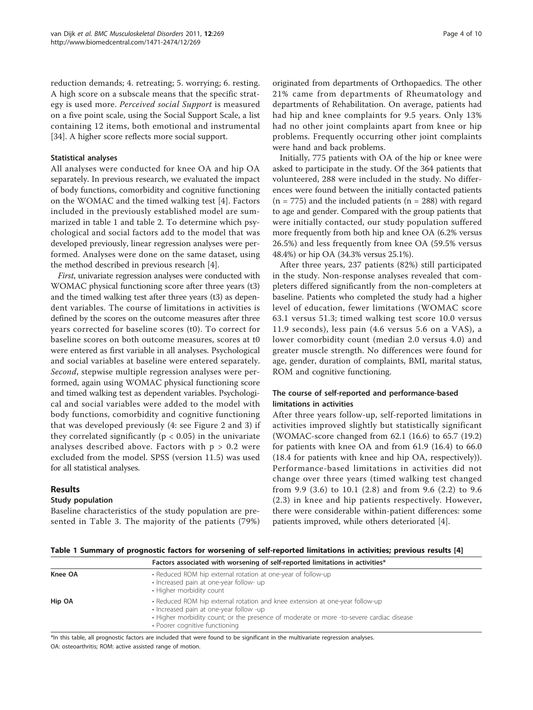reduction demands; 4. retreating; 5. worrying; 6. resting. A high score on a subscale means that the specific strategy is used more. Perceived social Support is measured on a five point scale, using the Social Support Scale, a list containing 12 items, both emotional and instrumental [[34\]](#page-8-0). A higher score reflects more social support.

#### Statistical analyses

All analyses were conducted for knee OA and hip OA separately. In previous research, we evaluated the impact of body functions, comorbidity and cognitive functioning on the WOMAC and the timed walking test [[4\]](#page-8-0). Factors included in the previously established model are summarized in table 1 and table [2.](#page-4-0) To determine which psychological and social factors add to the model that was developed previously, linear regression analyses were performed. Analyses were done on the same dataset, using the method described in previous research [[4\]](#page-8-0).

First, univariate regression analyses were conducted with WOMAC physical functioning score after three years (t3) and the timed walking test after three years (t3) as dependent variables. The course of limitations in activities is defined by the scores on the outcome measures after three years corrected for baseline scores (t0). To correct for baseline scores on both outcome measures, scores at t0 were entered as first variable in all analyses. Psychological and social variables at baseline were entered separately. Second, stepwise multiple regression analyses were performed, again using WOMAC physical functioning score and timed walking test as dependent variables. Psychological and social variables were added to the model with body functions, comorbidity and cognitive functioning that was developed previously (4: see Figure 2 and 3) if they correlated significantly ( $p < 0.05$ ) in the univariate analyses described above. Factors with  $p > 0.2$  were excluded from the model. SPSS (version 11.5) was used for all statistical analyses.

## Results

#### Study population

Baseline characteristics of the study population are presented in Table [3](#page-4-0). The majority of the patients (79%)

originated from departments of Orthopaedics. The other 21% came from departments of Rheumatology and departments of Rehabilitation. On average, patients had had hip and knee complaints for 9.5 years. Only 13% had no other joint complaints apart from knee or hip problems. Frequently occurring other joint complaints were hand and back problems.

Initially, 775 patients with OA of the hip or knee were asked to participate in the study. Of the 364 patients that volunteered, 288 were included in the study. No differences were found between the initially contacted patients  $(n = 775)$  and the included patients  $(n = 288)$  with regard to age and gender. Compared with the group patients that were initially contacted, our study population suffered more frequently from both hip and knee OA (6.2% versus 26.5%) and less frequently from knee OA (59.5% versus 48.4%) or hip OA (34.3% versus 25.1%).

After three years, 237 patients (82%) still participated in the study. Non-response analyses revealed that completers differed significantly from the non-completers at baseline. Patients who completed the study had a higher level of education, fewer limitations (WOMAC score 63.1 versus 51.3; timed walking test score 10.0 versus 11.9 seconds), less pain (4.6 versus 5.6 on a VAS), a lower comorbidity count (median 2.0 versus 4.0) and greater muscle strength. No differences were found for age, gender, duration of complaints, BMI, marital status, ROM and cognitive functioning.

## The course of self-reported and performance-based limitations in activities

After three years follow-up, self-reported limitations in activities improved slightly but statistically significant (WOMAC-score changed from 62.1 (16.6) to 65.7 (19.2) for patients with knee OA and from 61.9 (16.4) to 66.0 (18.4 for patients with knee and hip OA, respectively)). Performance-based limitations in activities did not change over three years (timed walking test changed from 9.9 (3.6) to 10.1 (2.8) and from 9.6 (2.2) to 9.6 (2.3) in knee and hip patients respectively. However, there were considerable within-patient differences: some patients improved, while others deteriorated [[4\]](#page-8-0).

Table 1 Summary of prognostic factors for worsening of self-reported limitations in activities; previous results [\[4](#page-8-0)]

|         | Factors associated with worsening of self-reported limitations in activities*                                                                                                                                                                         |  |
|---------|-------------------------------------------------------------------------------------------------------------------------------------------------------------------------------------------------------------------------------------------------------|--|
| Knee OA | • Reduced ROM hip external rotation at one-year of follow-up<br>• Increased pain at one-year follow- up<br>• Higher morbidity count                                                                                                                   |  |
| Hip OA  | • Reduced ROM hip external rotation and knee extension at one-year follow-up<br>• Increased pain at one-year follow -up<br>• Higher morbidity count; or the presence of moderate or more -to-severe cardiac disease<br>• Poorer cognitive functioning |  |
|         |                                                                                                                                                                                                                                                       |  |

\*In this table, all prognostic factors are included that were found to be significant in the multivariate regression analyses. OA: osteoarthritis; ROM: active assisted range of motion.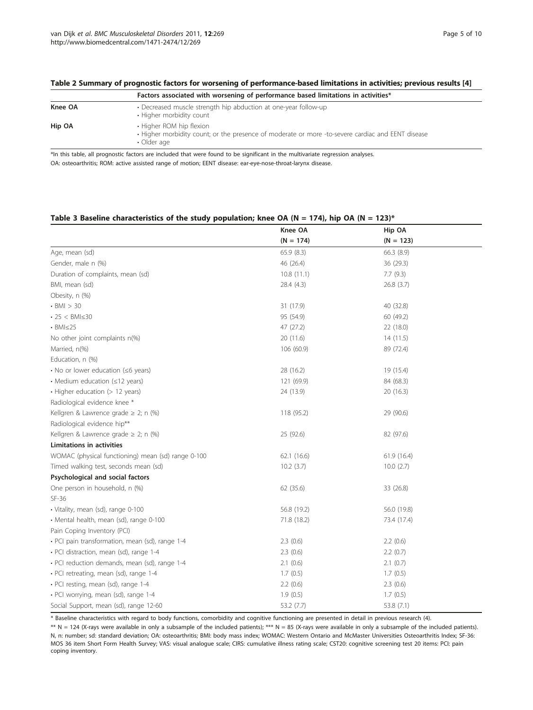|         | Factors associated with worsening of performance based limitations in activities*                                                                  |  |
|---------|----------------------------------------------------------------------------------------------------------------------------------------------------|--|
| Knee OA | • Decreased muscle strength hip abduction at one-year follow-up<br>• Higher morbidity count                                                        |  |
| Hip OA  | • Higher ROM hip flexion<br>• Higher morbidity count; or the presence of moderate or more -to-severe cardiac and EENT disease<br>$\cdot$ Older age |  |

#### <span id="page-4-0"></span>Table 2 Summary of prognostic factors for worsening of performance-based limitations in activities; previous results [[4](#page-8-0)]

\*In this table, all prognostic factors are included that were found to be significant in the multivariate regression analyses. OA: osteoarthritis; ROM: active assisted range of motion; EENT disease: ear-eye-nose-throat-larynx disease.

#### Table 3 Baseline characteristics of the study population; knee OA (N = 174), hip OA (N = 123)\*

|                                                    | Knee OA     | Hip OA      |  |
|----------------------------------------------------|-------------|-------------|--|
|                                                    | $(N = 174)$ | $(N = 123)$ |  |
| Age, mean (sd)                                     | 65.9(8.3)   | 66.3 (8.9)  |  |
| Gender, male n (%)                                 | 46 (26.4)   | 36 (29.3)   |  |
| Duration of complaints, mean (sd)                  | 10.8(11.1)  | 7.7(9.3)    |  |
| BMI, mean (sd)                                     | 28.4 (4.3)  | 26.8(3.7)   |  |
| Obesity, n (%)                                     |             |             |  |
| $\cdot$ BMI $> 30$                                 | 31 (17.9)   | 40 (32.8)   |  |
| $\cdot$ 25 < BMI $\leq$ 30                         | 95 (54.9)   | 60 (49.2)   |  |
| $\cdot$ BMI $\leq$ 25                              | 47 (27.2)   | 22 (18.0)   |  |
| No other joint complaints n(%)                     | 20 (11.6)   | 14(11.5)    |  |
| Married, n(%)                                      | 106 (60.9)  | 89 (72.4)   |  |
| Education, n (%)                                   |             |             |  |
| • No or lower education (≤6 years)                 | 28 (16.2)   | 19 (15.4)   |  |
| • Medium education (≤12 years)                     | 121 (69.9)  | 84 (68.3)   |  |
| · Higher education (> 12 years)                    | 24 (13.9)   | 20 (16.3)   |  |
| Radiological evidence knee *                       |             |             |  |
| Kellgren & Lawrence grade $\geq$ 2; n (%)          | 118 (95.2)  | 29 (90.6)   |  |
| Radiological evidence hip**                        |             |             |  |
| Kellgren & Lawrence grade $\geq$ 2; n (%)          | 25 (92.6)   | 82 (97.6)   |  |
| <b>Limitations in activities</b>                   |             |             |  |
| WOMAC (physical functioning) mean (sd) range 0-100 | 62.1(16.6)  | 61.9 (16.4) |  |
| Timed walking test, seconds mean (sd)              | 10.2(3.7)   | 10.0(2.7)   |  |
| Psychological and social factors                   |             |             |  |
| One person in household, n (%)                     | 62 (35.6)   | 33 (26.8)   |  |
| $SF-36$                                            |             |             |  |
| · Vitality, mean (sd), range 0-100                 | 56.8 (19.2) | 56.0 (19.8) |  |
| · Mental health, mean (sd), range 0-100            | 71.8 (18.2) | 73.4 (17.4) |  |
| Pain Coping Inventory (PCI)                        |             |             |  |
| · PCI pain transformation, mean (sd), range 1-4    | 2.3(0.6)    | 2.2(0.6)    |  |
| · PCI distraction, mean (sd), range 1-4            | 2.3(0.6)    | 2.2(0.7)    |  |
| · PCI reduction demands, mean (sd), range 1-4      | 2.1(0.6)    | 2.1(0.7)    |  |
| · PCI retreating, mean (sd), range 1-4             | 1.7(0.5)    | 1.7(0.5)    |  |
| · PCI resting, mean (sd), range 1-4                | 2.2(0.6)    | 2.3(0.6)    |  |
| · PCI worrying, mean (sd), range 1-4               | 1.9(0.5)    | 1.7(0.5)    |  |
| Social Support, mean (sd), range 12-60             | 53.2 (7.7)  | 53.8 (7.1)  |  |

\* Baseline characteristics with regard to body functions, comorbidity and cognitive functioning are presented in detail in previous research (4).

\*\* N = 124 (X-rays were available in only a subsample of the included patients); \*\*\* N = 85 (X-rays were available in only a subsample of the included patients). N, n: number; sd: standard deviation; OA: osteoarthritis; BMI: body mass index; WOMAC: Western Ontario and McMaster Universities Osteoarthritis Index; SF-36: MOS 36 item Short Form Health Survey; VAS: visual analogue scale; CIRS: cumulative illness rating scale; CST20: cognitive screening test 20 items: PCI: pain coping inventory.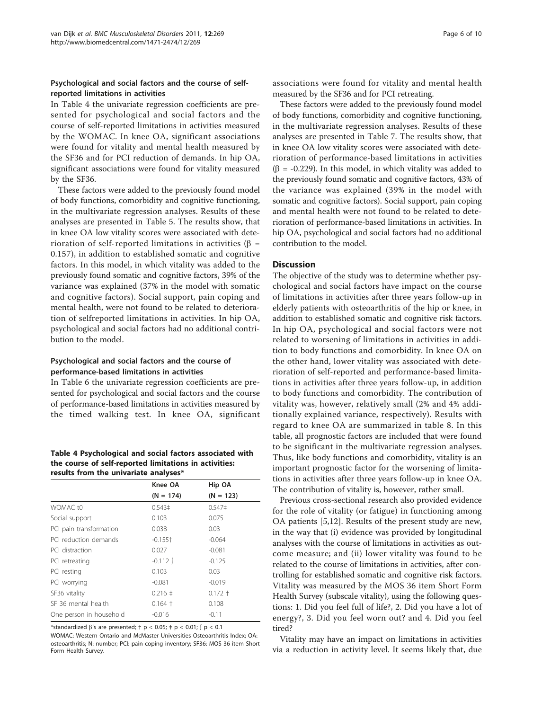## Psychological and social factors and the course of selfreported limitations in activities

In Table 4 the univariate regression coefficients are presented for psychological and social factors and the course of self-reported limitations in activities measured by the WOMAC. In knee OA, significant associations were found for vitality and mental health measured by the SF36 and for PCI reduction of demands. In hip OA, significant associations were found for vitality measured by the SF36.

These factors were added to the previously found model of body functions, comorbidity and cognitive functioning, in the multivariate regression analyses. Results of these analyses are presented in Table [5.](#page-6-0) The results show, that in knee OA low vitality scores were associated with deterioration of self-reported limitations in activities ( $\beta$  = 0.157), in addition to established somatic and cognitive factors. In this model, in which vitality was added to the previously found somatic and cognitive factors, 39% of the variance was explained (37% in the model with somatic and cognitive factors). Social support, pain coping and mental health, were not found to be related to deterioration of selfreported limitations in activities. In hip OA, psychological and social factors had no additional contribution to the model.

#### Psychological and social factors and the course of performance-based limitations in activities

In Table [6](#page-6-0) the univariate regression coefficients are presented for psychological and social factors and the course of performance-based limitations in activities measured by the timed walking test. In knee OA, significant

Table 4 Psychological and social factors associated with the course of self-reported limitations in activities: results from the univariate analyses\*

|                         | Knee OA               | Hip OA      |
|-------------------------|-----------------------|-------------|
|                         | $(N = 174)$           | $(N = 123)$ |
| WOMAC <sub>t0</sub>     | $0.543 \pm$           | $0.547 \pm$ |
| Social support          | 0.103                 | 0.075       |
| PCI pain transformation | 0.038                 | 0.03        |
| PCI reduction demands   | $-0.155$ <sup>+</sup> | $-0.064$    |
| PCI distraction         | 0.027                 | $-0.081$    |
| PCI retreating          | $-0.112$ $\int$       | $-0.125$    |
| PCI resting             | 0.103                 | 0.03        |
| PCI worrying            | $-0.081$              | $-0.019$    |
| SF36 vitality           | $0.216 \pm$           | $0.172 +$   |
| SF 36 mental health     | $0.164 +$             | 0.108       |
| One person in household | $-0.016$              | $-0.11$     |

\*standardized  $\beta$ 's are presented;  $\dagger$  p < 0.05;  $\dagger$  p < 0.01;  $\int$  p < 0.1

WOMAC: Western Ontario and McMaster Universities Osteoarthritis Index; OA: osteoarthritis; N: number; PCI: pain coping inventory; SF36: MOS 36 item Short Form Health Survey.

associations were found for vitality and mental health measured by the SF36 and for PCI retreating.

These factors were added to the previously found model of body functions, comorbidity and cognitive functioning, in the multivariate regression analyses. Results of these analyses are presented in Table [7.](#page-7-0) The results show, that in knee OA low vitality scores were associated with deterioration of performance-based limitations in activities  $(\beta = -0.229)$ . In this model, in which vitality was added to the previously found somatic and cognitive factors, 43% of the variance was explained (39% in the model with somatic and cognitive factors). Social support, pain coping and mental health were not found to be related to deterioration of performance-based limitations in activities. In hip OA, psychological and social factors had no additional contribution to the model.

#### **Discussion**

The objective of the study was to determine whether psychological and social factors have impact on the course of limitations in activities after three years follow-up in elderly patients with osteoarthritis of the hip or knee, in addition to established somatic and cognitive risk factors. In hip OA, psychological and social factors were not related to worsening of limitations in activities in addition to body functions and comorbidity. In knee OA on the other hand, lower vitality was associated with deterioration of self-reported and performance-based limitations in activities after three years follow-up, in addition to body functions and comorbidity. The contribution of vitality was, however, relatively small (2% and 4% additionally explained variance, respectively). Results with regard to knee OA are summarized in table [8.](#page-7-0) In this table, all prognostic factors are included that were found to be significant in the multivariate regression analyses. Thus, like body functions and comorbidity, vitality is an important prognostic factor for the worsening of limitations in activities after three years follow-up in knee OA. The contribution of vitality is, however, rather small.

Previous cross-sectional research also provided evidence for the role of vitality (or fatigue) in functioning among OA patients [[5,12](#page-8-0)]. Results of the present study are new, in the way that (i) evidence was provided by longitudinal analyses with the course of limitations in activities as outcome measure; and (ii) lower vitality was found to be related to the course of limitations in activities, after controlling for established somatic and cognitive risk factors. Vitality was measured by the MOS 36 item Short Form Health Survey (subscale vitality), using the following questions: 1. Did you feel full of life?, 2. Did you have a lot of energy?, 3. Did you feel worn out? and 4. Did you feel tired?

Vitality may have an impact on limitations in activities via a reduction in activity level. It seems likely that, due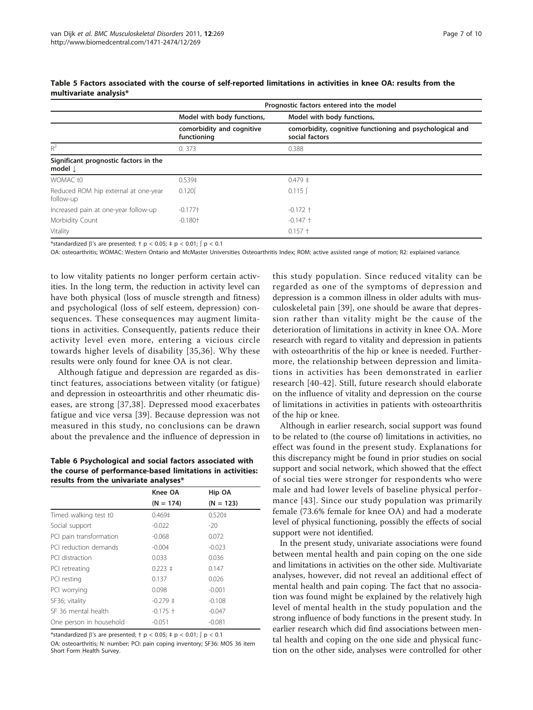|                                                        | Prognostic factors entered into the model                |                                                                            |  |
|--------------------------------------------------------|----------------------------------------------------------|----------------------------------------------------------------------------|--|
|                                                        | Model with body functions,<br>Model with body functions, |                                                                            |  |
|                                                        | comorbidity and cognitive<br>functioning                 | comorbidity, cognitive functioning and psychological and<br>social factors |  |
| $R^2$                                                  | 0.373                                                    | 0.388                                                                      |  |
| Significant prognostic factors in the<br>model $\perp$ |                                                          |                                                                            |  |
| WOMAC <sub>t0</sub>                                    | 0.539 <sup>‡</sup>                                       | $0.479 \pm$                                                                |  |
| Reduced ROM hip external at one-year<br>follow-up      | 0.120                                                    | 0.115                                                                      |  |
| Increased pain at one-year follow-up                   | $-0.177$ <sup>+</sup>                                    | $-0.172 +$                                                                 |  |
| Morbidity Count                                        | $-0.180 +$                                               | $-0.147 +$                                                                 |  |
| Vitality                                               |                                                          | $0.157 +$                                                                  |  |

<span id="page-6-0"></span>Table 5 Factors associated with the course of self-reported limitations in activities in knee OA: results from the multivariate analysis\*

\*standardized  $\beta$ 's are presented;  $\dagger$  p < 0.05;  $\dagger$  p < 0.01;  $\int$  p < 0.1

OA: osteoarthritis; WOMAC: Western Ontario and McMaster Universities Osteoarthritis Index; ROM: active assisted range of motion; R2: explained variance.

to low vitality patients no longer perform certain activities. In the long term, the reduction in activity level can have both physical (loss of muscle strength and fitness) and psychological (loss of self esteem, depression) consequences. These consequences may augment limitations in activities. Consequently, patients reduce their activity level even more, entering a vicious circle towards higher levels of disability [[35,36\]](#page-9-0). Why these results were only found for knee OA is not clear.

Although fatigue and depression are regarded as distinct features, associations between vitality (or fatigue) and depression in osteoarthritis and other rheumatic diseases, are strong [[37,38](#page-9-0)]. Depressed mood exacerbates fatigue and vice versa [\[39](#page-9-0)]. Because depression was not measured in this study, no conclusions can be drawn about the prevalence and the influence of depression in

Table 6 Psychological and social factors associated with the course of performance-based limitations in activities: results from the univariate analyses\*

|                         | Knee OA            | Hip OA      |
|-------------------------|--------------------|-------------|
|                         | $(N = 174)$        | $(N = 123)$ |
| Timed walking test t0   | 0.469 <sup>‡</sup> | $0.520 \pm$ |
| Social support          | $-0.022$           | -20         |
| PCI pain transformation | $-0.068$           | 0.072       |
| PCI reduction demands   | $-0.004$           | $-0.023$    |
| PCI distraction         | 0.033              | 0.036       |
| PCI retreating          | $0.223 \pm$        | 0.147       |
| PCI resting             | 0.137              | 0.026       |
| PCI worrying            | 0.098              | $-0.001$    |
| SF36; vitality          | $-0.279 \pm$       | $-0.108$    |
| SF 36 mental health     | $-0.175 +$         | $-0.047$    |
| One person in household | $-0.051$           | $-0.081$    |

\*standardized  $\beta$ 's are presented;  $\dagger$  p < 0.05;  $\dagger$  p < 0.01;  $\int$  p < 0.1

OA: osteoarthritis; N: number; PCI: pain coping inventory; SF36: MOS 36 item Short Form Health Survey.

this study population. Since reduced vitality can be regarded as one of the symptoms of depression and depression is a common illness in older adults with musculoskeletal pain [[39\]](#page-9-0), one should be aware that depression rather than vitality might be the cause of the deterioration of limitations in activity in knee OA. More research with regard to vitality and depression in patients with osteoarthritis of the hip or knee is needed. Furthermore, the relationship between depression and limitations in activities has been demonstrated in earlier research [[40-42\]](#page-9-0). Still, future research should elaborate on the influence of vitality and depression on the course of limitations in activities in patients with osteoarthritis of the hip or knee.

Although in earlier research, social support was found to be related to (the course of) limitations in activities, no effect was found in the present study. Explanations for this discrepancy might be found in prior studies on social support and social network, which showed that the effect of social ties were stronger for respondents who were male and had lower levels of baseline physical performance [[43\]](#page-9-0). Since our study population was primarily female (73.6% female for knee OA) and had a moderate level of physical functioning, possibly the effects of social support were not identified.

In the present study, univariate associations were found between mental health and pain coping on the one side and limitations in activities on the other side. Multivariate analyses, however, did not reveal an additional effect of mental health and pain coping. The fact that no association was found might be explained by the relatively high level of mental health in the study population and the strong influence of body functions in the present study. In earlier research which did find associations between mental health and coping on the one side and physical function on the other side, analyses were controlled for other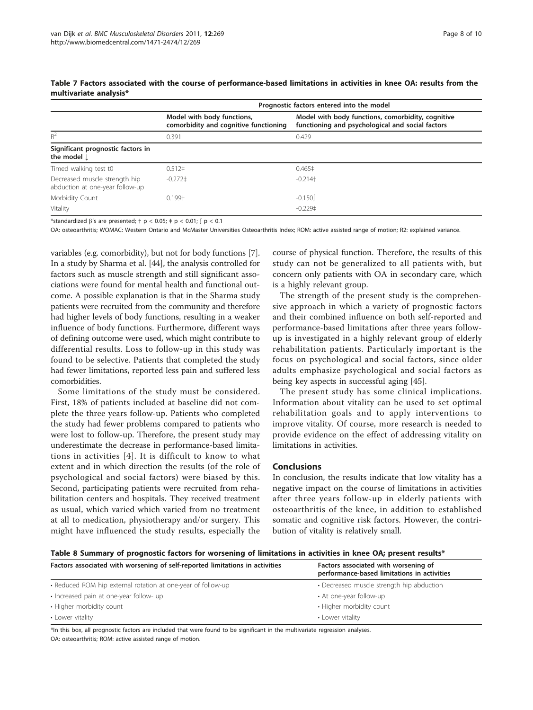|                                                                  | Prognostic factors entered into the model                           |                                                                                                       |  |
|------------------------------------------------------------------|---------------------------------------------------------------------|-------------------------------------------------------------------------------------------------------|--|
|                                                                  | Model with body functions,<br>comorbidity and cognitive functioning | Model with body functions, comorbidity, cognitive<br>functioning and psychological and social factors |  |
| $R^2$                                                            | 0.391                                                               | 0.429                                                                                                 |  |
| Significant prognostic factors in<br>the model $\downarrow$      |                                                                     |                                                                                                       |  |
| Timed walking test t0                                            | $0.512 \pm$                                                         | $0.465 \pm$                                                                                           |  |
| Decreased muscle strength hip<br>abduction at one-year follow-up | $-0.272 \pm 1$                                                      | $-0.214$ <sup>+</sup>                                                                                 |  |
| Morbidity Count                                                  | $0.199+$                                                            | $-0.150$                                                                                              |  |
| Vitality                                                         |                                                                     | $-0.229\pm$                                                                                           |  |

<span id="page-7-0"></span>Table 7 Factors associated with the course of performance-based limitations in activities in knee OA: results from the multivariate analysis\*

\*standardized  $\beta$ 's are presented;  $\dagger$  p < 0.05;  $\dagger$  p < 0.01;  $\int$  p < 0.1

OA: osteoarthritis; WOMAC: Western Ontario and McMaster Universities Osteoarthritis Index; ROM: active assisted range of motion; R2: explained variance.

variables (e.g. comorbidity), but not for body functions [[7](#page-8-0)]. In a study by Sharma et al. [\[44](#page-9-0)], the analysis controlled for factors such as muscle strength and still significant associations were found for mental health and functional outcome. A possible explanation is that in the Sharma study patients were recruited from the community and therefore had higher levels of body functions, resulting in a weaker influence of body functions. Furthermore, different ways of defining outcome were used, which might contribute to differential results. Loss to follow-up in this study was found to be selective. Patients that completed the study had fewer limitations, reported less pain and suffered less comorbidities.

Some limitations of the study must be considered. First, 18% of patients included at baseline did not complete the three years follow-up. Patients who completed the study had fewer problems compared to patients who were lost to follow-up. Therefore, the present study may underestimate the decrease in performance-based limitations in activities [[4\]](#page-8-0). It is difficult to know to what extent and in which direction the results (of the role of psychological and social factors) were biased by this. Second, participating patients were recruited from rehabilitation centers and hospitals. They received treatment as usual, which varied which varied from no treatment at all to medication, physiotherapy and/or surgery. This might have influenced the study results, especially the

course of physical function. Therefore, the results of this study can not be generalized to all patients with, but concern only patients with OA in secondary care, which is a highly relevant group.

The strength of the present study is the comprehensive approach in which a variety of prognostic factors and their combined influence on both self-reported and performance-based limitations after three years followup is investigated in a highly relevant group of elderly rehabilitation patients. Particularly important is the focus on psychological and social factors, since older adults emphasize psychological and social factors as being key aspects in successful aging [\[45\]](#page-9-0).

The present study has some clinical implications. Information about vitality can be used to set optimal rehabilitation goals and to apply interventions to improve vitality. Of course, more research is needed to provide evidence on the effect of addressing vitality on limitations in activities.

#### Conclusions

In conclusion, the results indicate that low vitality has a negative impact on the course of limitations in activities after three years follow-up in elderly patients with osteoarthritis of the knee, in addition to established somatic and cognitive risk factors. However, the contribution of vitality is relatively small.

Table 8 Summary of prognostic factors for worsening of limitations in activities in knee OA; present results\*

| Factors associated with worsening of self-reported limitations in activities | Factors associated with worsening of<br>performance-based limitations in activities |
|------------------------------------------------------------------------------|-------------------------------------------------------------------------------------|
| • Reduced ROM hip external rotation at one-year of follow-up                 | • Decreased muscle strength hip abduction                                           |
| • Increased pain at one-year follow- up                                      | • At one-year follow-up                                                             |
| • Higher morbidity count                                                     | • Higher morbidity count                                                            |
| • Lower vitality                                                             | • Lower vitality                                                                    |

\*In this box, all prognostic factors are included that were found to be significant in the multivariate regression analyses. OA: osteoarthritis; ROM: active assisted range of motion.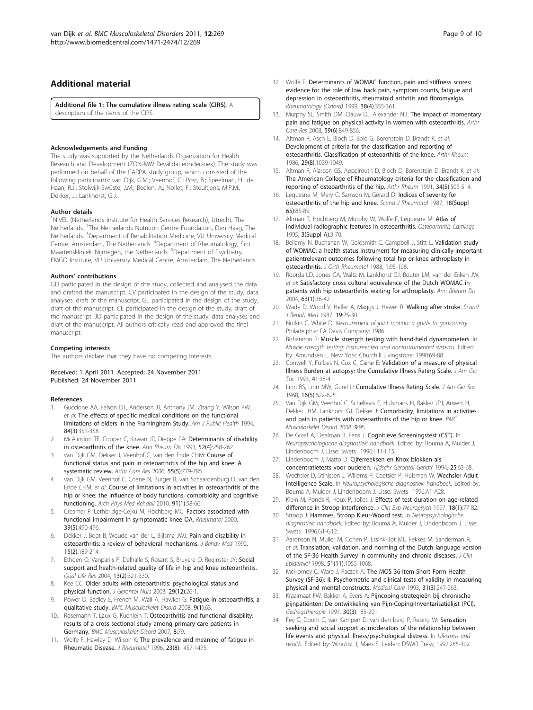## <span id="page-8-0"></span>Additional material

[Additional file 1: T](http://www.biomedcentral.com/content/supplementary/1471-2474-12-269-S1.DOC)he cumulative illness rating scale (CIRS). A description of the items of the CIRS.

#### Acknowledgements and Funding

The study was supported by the Netherlands Organization for Health Research and Development (ZON-MW Revalidatieonderzoek). The study was performed on behalf of the CARPA study group, which consisted of the following participants: van Dijk, G.M.; Veenhof, C.; Post, B.; Speelman, H.; de Haan, R.J.; Stolwijk-Swüste, J.M.; Beelen, A.; Nollet, F.; Steultjens, M.P.M.; Dekker, J.; Lankhorst, G.J.

#### Author details

<sup>1</sup>NIVEL (Netherlands Institute for Health Services Research), Utrecht, The Netherlands. <sup>2</sup>The Netherlands Nutrition Centre Foundation, Den Haag, The Netherlands. <sup>3</sup>Department of Rehabilitation Medicine, VU University Medical Centre, Amsterdam, The Netherlands. <sup>4</sup>Department of Rheumatology, Sint Maartenskliniek, Nijmegen, the Netherlands. <sup>5</sup>Department of Psychiatry, EMGO Institute, VU University Medical Centre, Amsterdam, The Netherlands.

#### Authors' contributions

GD participated in the design of the study, collected and analysed the data and drafted the manuscript. CV participated in the design of the study, data analyses, draft of the manuscript. GL participated in the design of the study, draft of the manuscript. CE participated in the design of the study, draft of the manuscript. JD participated in the design of the study, data analyses and draft of the manuscript. All authors critically read and approved the final manuscript.

#### Competing interests

The authors declare that they have no competing interests.

#### Received: 1 April 2011 Accepted: 24 November 2011 Published: 24 November 2011

#### References

- 1. Guccione AA, Felson DT, Anderson JJ, Anthony JM, Zhang Y, Wilson PW, et al: [The effects of specific medical conditions on the functional](http://www.ncbi.nlm.nih.gov/pubmed/8129049?dopt=Abstract) [limitations of elders in the Framingham Study.](http://www.ncbi.nlm.nih.gov/pubmed/8129049?dopt=Abstract) Am J Public Health 1994, 84(3):351-358.
- 2. McAlindon TE, Cooper C, Kirwan JR, Dieppe PA: [Determinants of disability](http://www.ncbi.nlm.nih.gov/pubmed/8484690?dopt=Abstract) [in osteoarthritis of the knee.](http://www.ncbi.nlm.nih.gov/pubmed/8484690?dopt=Abstract) Ann Rheum Dis 1993, 52(4):258-262.
- 3. van Dijk GM, Dekker J, Veenhof C, van den Ende CHM: Course of functional status and pain in osteoarthritis of the hip and knee: A systematic review. Arthr Care Res 2006, 55(5):779-785.
- 4. van Dijk GM, Veenhof C, Coene N, Burger B, van Schaardenburg D, van den Ende CHM, et al: [Course of limitations in activities in osteoarthritis of the](http://www.ncbi.nlm.nih.gov/pubmed/20103397?dopt=Abstract) [hip or knee: the influence of body functions, comorbidity and cognitive](http://www.ncbi.nlm.nih.gov/pubmed/20103397?dopt=Abstract) [functioning.](http://www.ncbi.nlm.nih.gov/pubmed/20103397?dopt=Abstract) Arch Phys Med Rehabil 2010, 91(1):58-66.
- 5. Creamer P, Lethbridge-Cejku M, Hochberg MC: Factors associated with functional impairment in symptomatic knee OA. Rheumatol 2000, 39(5):490-496.
- 6. Dekker J, Boot B, Woude van der L, Bijlsma JWJ: [Pain and disability in](http://www.ncbi.nlm.nih.gov/pubmed/1533877?dopt=Abstract) [osteoarthritis: a review of behavioral mechanisms.](http://www.ncbi.nlm.nih.gov/pubmed/1533877?dopt=Abstract) J Behav Med 1992, 15(2):189-214.
- 7. Ethgen O, Vanparijs P, Delhalle S, Rosant S, Bruyere O, Reginster JY: [Social](http://www.ncbi.nlm.nih.gov/pubmed/15085904?dopt=Abstract) [support and health-related quality of life in hip and knee osteoarthritis.](http://www.ncbi.nlm.nih.gov/pubmed/15085904?dopt=Abstract) Qual Life Res 2004, 13(2):321-330.
- 8. Kee CC: [Older adults with osteoarthritis: psychological status and](http://www.ncbi.nlm.nih.gov/pubmed/14692241?dopt=Abstract) [physical function.](http://www.ncbi.nlm.nih.gov/pubmed/14692241?dopt=Abstract) J Gerontol Nurs 2003, 29(12):26-1.
- 9. Power D, Badley E, French M, Wall A, Hawker G: [Fatigue in osteoarthritis; a](http://www.ncbi.nlm.nih.gov/pubmed/18452607?dopt=Abstract) [qualitative study.](http://www.ncbi.nlm.nih.gov/pubmed/18452607?dopt=Abstract) BMC Musculoskelet Disord 2008, 9(1):63.
- 10. Rosemann T, Laux G, Kuehlein T: [Osteoarthritis and functional disability:](http://www.ncbi.nlm.nih.gov/pubmed/17686172?dopt=Abstract) [results of a cross sectional study among primary care patients in](http://www.ncbi.nlm.nih.gov/pubmed/17686172?dopt=Abstract) [Germany.](http://www.ncbi.nlm.nih.gov/pubmed/17686172?dopt=Abstract) BMC Musculoskelet Disord 2007, 8:79.
- 11. Wolfe F, Hawley D, Wilson K: [The prevalence and meaning of fatigue in](http://www.ncbi.nlm.nih.gov/pubmed/9157203?dopt=Abstract) [Rheumatic Disease.](http://www.ncbi.nlm.nih.gov/pubmed/9157203?dopt=Abstract) J Rheumatol 1996, 23(8):1457-1475.
- 12. Wolfe F: Determinants of WOMAC function, pain and stiffness scores: evidence for the role of low back pain, symptom counts, fatigue and depression in osteoarthritis, rheumatoid arthritis and fibromyalgia. Rheumatology (Oxford) 1999, 38(4):355-361.
- 13. Murphy SL, Smith DM, Clauw DJ, Alexander NB: The impact of momentary pain and fatigue on physical activity in women with osteoarthritis. Arthr Care Res 2008, 59(6):849-856.
- 14. Altman R, Asch E, Bloch D, Bole G, Borenstein D, Brandt K, et al: Development of criteria for the classification and reporting of osteoarthritis. Classification of osteoarthitis of the knee. Arthr Rheum 1986, 29(8):1039-1049.
- 15. Altman R, Alarcon GS, Appelrouth D, Bloch D, Borenstein D, Brandt K, et al: The American College of Rheumatology criteria for the classification and reporting of osteoarthritis of the hip. Arthr Rheum 1991, 34(5):505-514.
- 16. Lequesne M, Mery C, Samson M, Gerard D: Indices of severity for osteoarthritis of the hip and knee. Scand J Rheumatol 1987, 18(Suppl 65):85-89.
- 17. Altman R, Hochberg M, Murphy W, Wolfe F, Lequesne M: [Atlas of](http://www.ncbi.nlm.nih.gov/pubmed/8581752?dopt=Abstract) [individual radiographic features in osteoarthritis.](http://www.ncbi.nlm.nih.gov/pubmed/8581752?dopt=Abstract) Osteoarthritis Cartilage 1995, 3(Suppl A):3-70.
- 18. Bellamy N, Buchanan W, Goldsmith C, Campbell J, Stitt L: Validation study of WOMAC: a health status instrument for measuring clinically-important patientrelevant outcomes following total hip or knee arthroplasty in osteoarthritis. J Orth Rheumatol 1988, 1:95-108.
- 19. Roorda LD, Jones CA, Waltz M, Lankhorst GJ, Bouter LM, van der Eijken JW, et al: [Satisfactory cross cultural equivalence of the Dutch WOMAC in](http://www.ncbi.nlm.nih.gov/pubmed/14672889?dopt=Abstract) [patients with hip osteoarthritis waiting for arthroplasty.](http://www.ncbi.nlm.nih.gov/pubmed/14672889?dopt=Abstract) Ann Rheum Dis 2004, 63(1):36-42.
- 20. Wade D, Wood V, Heller A, Maggs J, Hewer R: Walking after stroke. Scand J Rehab Med 1987, 19:25-30.
- 21. Norkin C, White D: Measurement of joint motion: a guide to goniometry Philadelphia: FA Davis Company; 1986.
- 22. Bohannon R: Muscle strength testing with hand-held dynamometers. In Muscle strength testing: instrumented and noninstrumented systems. Edited by: Amundsen L. New York: Churchill Livingstone; 1990:69-88.
- 23. Conwell Y, Forbes N, Cox C, Caine E: Validation of a measure of physical Illness Burden at autopsy: the Cumulative Illness Rating Scale. J Am Ger Soc 1993, 41:38-41.
- 24. Linn BS, Linn MW, Gurel L: Cumulative Illness Rating Scale. J Am Ger Soc 1968, 16(5):622-625.
- 25. Van Dijk GM, Veenhof C, Schellevis F, Hulsmans H, Bakker JPJ, Arwert H, Dekker JHM, Lankhorst GJ, Dekker J: [Comorbidity, limitations in activities](http://www.ncbi.nlm.nih.gov/pubmed/18582362?dopt=Abstract) [and pain in patients with osteoarthritis of the hip or knee.](http://www.ncbi.nlm.nih.gov/pubmed/18582362?dopt=Abstract) BMC Musculoskelet Disord 2008, 9:95.
- 26. De Graaf A, Deelman B, Fens J: Cognitieve Screeningstest (CST). In Neuropsychologische diagnostiek; handboek. Edited by: Bouma A, Mulder J, Lindenboom J. Lisse: Swets 1996:I 11-I 15.
- 27. Lindenboom J, Matto D: Ciiferreeksen en Knox blokken als [concentratietests voor ouderen.](http://www.ncbi.nlm.nih.gov/pubmed/8197598?dopt=Abstract) Tijdschr Gerontol Geriatr 1994, 25:63-68. 28. Wechsler D, Stinissen J, Willems P, Coetsier P, Hulsman W: Wechsler Adult Intelligence Scale. In Neuropsychologische diagnostiek: handboek. Edited by: Bouma A, Mulder J, Lindenboom J. Lisse: Swets 1996:A1-A28.
- Klein M, Ponds R, Houx P, Jolles J: Effects of test duration on age-related difference in Stroop Interference. J Clin Exp Neuropsych 1997, 18(1):77-82.
- 30. Stroop J: Hammes. Stroop Kleur-Woord test. In Neuropsychologische diagnostiek; handboek. Edited by: Bouma A, Mulder J, Lindenboom J. Lisse: Swets 1996:G1-G12.
- 31. Aaronson N, Muller M, Cohen P, Essink-Bot ML, Fekkes M, Sanderman R, et al: [Translation, validation, and norming of the Dutch language version](http://www.ncbi.nlm.nih.gov/pubmed/9817123?dopt=Abstract) [of the SF-36 Health Survey in community and chronic diseases.](http://www.ncbi.nlm.nih.gov/pubmed/9817123?dopt=Abstract) J Clin Epidemiol 1998, 51(11):1055-1068.
- 32. McHorney C, Ware J, Raczek A: [The MOS 36-item Short Form Health](http://www.ncbi.nlm.nih.gov/pubmed/8450681?dopt=Abstract) [Survey \(SF-36\): II. Psychometric and clinical tests of validity in measuring](http://www.ncbi.nlm.nih.gov/pubmed/8450681?dopt=Abstract) [physical and mental constructs.](http://www.ncbi.nlm.nih.gov/pubmed/8450681?dopt=Abstract) Medical Care 1993, 31(3):247-263.
- Kraaimaat FW, Bakker A, Evers A: Pijncoping-strategieën bij chronische pijnpatiënten: De ontwikkeling van Pijn-Coping-Inventarisatielijst (PCI). Gedragstherapie 1997, 30(3):185-201.
- 34. Feij C, Doorn C, van Kampen D, van den berg P, Resing W: Sensation seeking and social support as moderators of the relationship between life events and physical illness/psychological distress. In Lifestress and health. Edited by: Winubst J, Maes S. Leiden: DSWO Press; 1992:285-302.